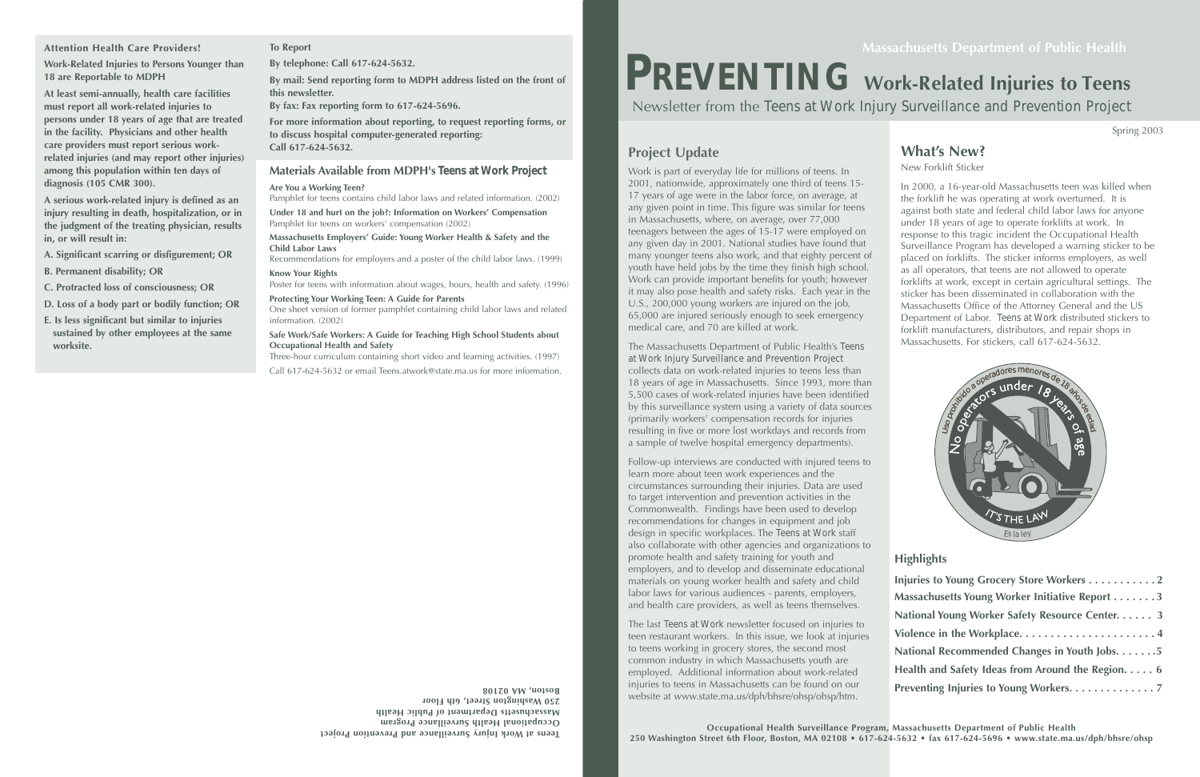# **What's New?**

New Forklift Sticker

In 2000, a 16-year-old Massachusetts teen was killed when the forklift he was operating at work overturned. It is against both state and federal child labor laws for anyone under 18 years of age to operate forklifts at work. In response to this tragic incident the Occupational Health Surveillance Program has developed a warning sticker to be placed on forklifts. The sticker informs employers, as well as all operators, that teens are not allowed to operate forklifts at work, except in certain agricultural settings. The sticker has been disseminated in collaboration with the Massachusetts Office of the Attorney General and the US Department of Labor. *Teens at Work* distributed stickers to forklift manufacturers, distributors, and repair shops in Massachusetts. For stickers, call 617-624-5632.

Spring 2003

# *PREVENTING* **Work-Related Injuries to Teens**

Newsletter from the *Teens at Work Injury Surveillance and Prevention Project*

**eens at Work Injury Surveillance and Prevention Project <sup>T</sup> Occupational Health Surveillance Program Massachusetts Department of Public Health 250 Washington Street, 6th Floor Boston, MA 02108**  **Project Update**

Work is part of everyday life for millions of teens. In 2001, nationwide, approximately one third of teens 15- 17 years of age were in the labor force, on average, at any given point in time. This figure was similar for teens in Massachusetts, where, on average, over 77,000 teenagers between the ages of 15-17 were employed on any given day in 2001. National studies have found that many younger teens also work, and that eighty percent of youth have held jobs by the time they finish high school. Work can provide important benefits for youth; however it may also pose health and safety risks. Each year in the U.S., 200,000 young workers are injured on the job, 65,000 are injured seriously enough to seek emergency medical care, and 70 are killed at work.

The Massachusetts Department of Public Health's *Teens at Work Injury Surveillance and Prevention Project* collects data on work-related injuries to teens less than 18 years of age in Massachusetts. Since 1993, more than 5,500 cases of work-related injuries have been identified by this surveillance system using a variety of data sources (primarily workers' compensation records for injuries resulting in five or more lost workdays and records from a sample of twelve hospital emergency departments).

Follow-up interviews are conducted with injured teens to learn more about teen work experiences and the circumstances surrounding their injuries. Data are used to target intervention and prevention activities in the Commonwealth. Findings have been used to develop recommendations for changes in equipment and job design in specific workplaces. The *Teens at Work* staff also collaborate with other agencies and organizations to promote health and safety training for youth and employers, and to develop and disseminate educational materials on young worker health and safety and child labor laws for various audiences - parents, employers, and health care providers, as well as teens themselves.

The last *Teens at Work* newsletter focused on injuries to teen restaurant workers. In this issue, we look at injuries to teens working in grocery stores, the second most common industry in which Massachusetts youth are employed. Additional information about work-related injuries to teens in Massachusetts can be found on our website at www.state.ma.us/dph/bhsre/ohsp/ohsp/htm.

## **Highlights**

| Injuries to Young Grocery Store Workers 2                 |
|-----------------------------------------------------------|
| Massachusetts Young Worker Initiative Report 3            |
| National Young Worker Safety Resource Center. 3           |
| Violence in the Workplace4                                |
| National Recommended Changes in Youth Jobs. 5             |
| Health and Safety Ideas from Around the Region. $\dots$ 6 |
| Preventing Injuries to Young Workers. 7                   |



#### **Materials Available from MDPH's** *Teens at Work Project*

#### **Are You a Working Teen?**

Pamphlet for teens contains child labor laws and related information. (2002)

**Under 18 and hurt on the job?: Information on Workers' Compensation** Pamphlet for teens on workers' compensation (2002)

**Massachusetts Employers' Guide: Young Worker Health & Safety and the Child Labor Laws** 

Recommendations for employers and a poster of the child labor laws. (1999) **Know Your Rights**

Poster for teens with information about wages, hours, health and safety. (1996) **Protecting Your Working Teen: A Guide for Parents**

One sheet version of former pamphlet containing child labor laws and related information. (2002)

#### **Safe Work/Safe Workers: A Guide for Teaching High School Students about Occupational Health and Safety**

Three-hour curriculum containing short video and learning activities. (1997) Call 617-624-5632 or email Teens.atwork@state.ma.us for more information.

**Attention Health Care Providers!** 

**Work-Related Injuries to Persons Younger than 18 are Reportable to MDPH**

**At least semi-annually, health care facilities must report all work-related injuries to persons under 18 years of age that are treated in the facility. Physicians and other health care providers must report serious workrelated injuries (and may report other injuries) among this population within ten days of diagnosis (105 CMR 300).**

**A serious work-related injury is defined as an injury resulting in death, hospitalization, or in the judgment of the treating physician, results in, or will result in:**

**A. Significant scarring or disfigurement; OR**

**B. Permanent disability; OR**

**C. Protracted loss of consciousness; OR**

- **D. Loss of a body part or bodily function; OR**
- **E. Is less significant but similar to injuries sustained by other employees at the same worksite.**

#### **To Report**

**By telephone: Call 617-624-5632.**

**By mail: Send reporting form to MDPH address listed on the front of this newsletter.**

**By fax: Fax reporting form to 617-624-5696.**

**For more information about reporting, to request reporting forms, or to discuss hospital computer-generated reporting: Call 617-624-5632.**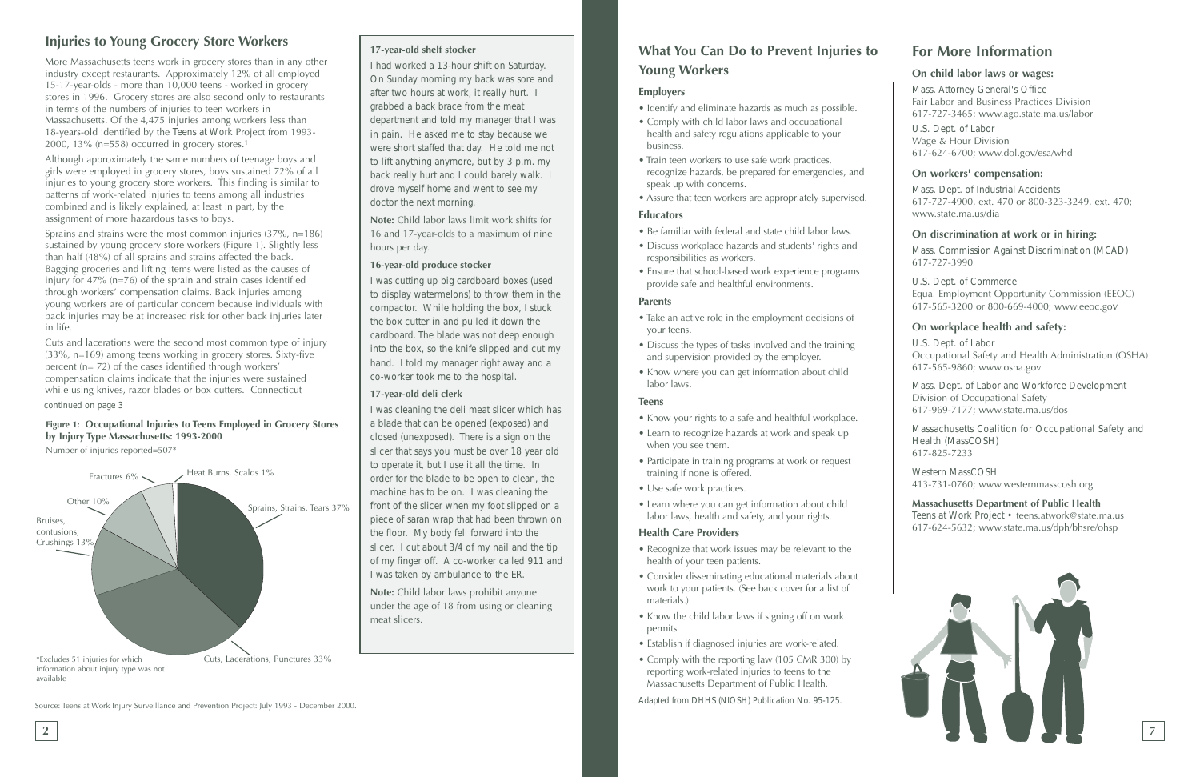# **Injuries to Young Grocery Store Workers**

More Massachusetts teens work in grocery stores than in any other industry except restaurants. Approximately 12% of all employed 15-17-year-olds - more than 10,000 teens - worked in grocery stores in 1996. Grocery stores are also second only to restaurants in terms of the numbers of injuries to teen workers in Massachusetts. Of the 4,475 injuries among workers less than 18-years-old identified by the *Teens at Work* Project from 1993- 2000, 13% (n=558) occurred in grocery stores.1

Although approximately the same numbers of teenage boys and girls were employed in grocery stores, boys sustained 72% of all injuries to young grocery store workers. This finding is similar to patterns of work-related injuries to teens among all industries combined and is likely explained, at least in part, by the assignment of more hazardous tasks to boys.

Sprains and strains were the most common injuries (37%, n=186) sustained by young grocery store workers (Figure 1). Slightly less than half (48%) of all sprains and strains affected the back. Bagging groceries and lifting items were listed as the causes of injury for 47% (n=76) of the sprain and strain cases identified through workers' compensation claims. Back injuries among young workers are of particular concern because individuals with back injuries may be at increased risk for other back injuries later in life.

Cuts and lacerations were the second most common type of injury (33%, n=169) among teens working in grocery stores. Sixty-five percent (n= 72) of the cases identified through workers' compensation claims indicate that the injuries were sustained while using knives, razor blades or box cutters. Connecticut

#### **17-year-old shelf stocker**

*I had worked a 13-hour shift on Saturday. On Sunday morning my back was sore and after two hours at work, it really hurt. I grabbed a back brace from the meat department and told my manager that I was in pain. He asked me to stay because we were short staffed that day. He told me not to lift anything anymore, but by 3 p.m. my back really hurt and I could barely walk. I drove myself home and went to see my doctor the next morning.*

**Note:** Child labor laws limit work shifts for 16 and 17-year-olds to a maximum of nine hours per day.

#### **16-year-old produce stocker**

*I was cutting up big cardboard boxes (used to display watermelons) to throw them in the compactor. While holding the box, I stuck the box cutter in and pulled it down the cardboard. The blade was not deep enough into the box, so the knife slipped and cut my hand. I told my manager right away and a co-worker took me to the hospital.*

#### **17-year-old deli clerk**

*I was cleaning the deli meat slicer which has a blade that can be opened (exposed) and closed (unexposed). There is a sign on the slicer that says you must be over 18 year old to operate it, but I use it all the time. In order for the blade to be open to clean, the machine has to be on. I was cleaning the front of the slicer when my foot slipped on a piece of saran wrap that had been thrown on the floor. My body fell forward into the slicer. I cut about 3/4 of my nail and the tip of my finger off. A co-worker called 911 and I was taken by ambulance to the ER.*

**Note:** Child labor laws prohibit anyone under the age of 18 from using or cleaning meat slicers.

Source: Teens at Work Injury Surveillance and Prevention Project: July 1993 - December 2000.

#### *continued on page 3*



#### **Figure 1: Occupational Injuries to Teens Employed in Grocery Stores by Injury Type Massachusetts: 1993-2000**

Number of injuries reported=507\*



# **What You Can Do to Prevent Injuries to Young Workers**

### **Employers**

- Identify and eliminate hazards as much as possible.
- Comply with child labor laws and occupational health and safety regulations applicable to your business.
- Train teen workers to use safe work practices, recognize hazards, be prepared for emergencies, and speak up with concerns.
- Assure that teen workers are appropriately supervised.

#### **Educators**

- Be familiar with federal and state child labor laws.
- Discuss workplace hazards and students' rights and responsibilities as workers.
- Ensure that school-based work experience programs provide safe and healthful environments.

#### **Parents**

- Take an active role in the employment decisions of your teens.
- Discuss the types of tasks involved and the training and supervision provided by the employer.
- Know where you can get information about child labor laws.

#### **Teens**

- Know your rights to a safe and healthful workplace.
- Learn to recognize hazards at work and speak up when you see them.
- Participate in training programs at work or request training if none is offered.
- Use safe work practices.
- Learn where you can get information about child labor laws, health and safety, and your rights.

#### **Health Care Providers**

- Recognize that work issues may be relevant to the health of your teen patients.
- Consider disseminating educational materials about work to your patients. (See back cover for a list of materials.)
- Know the child labor laws if signing off on work permits.
- Establish if diagnosed injuries are work-related.
- Comply with the reporting law (105 CMR 300) by reporting work-related injuries to teens to the Massachusetts Department of Public Health.

*Adapted from DHHS (NIOSH) Publication No. 95-125.*

# **For More Information**

#### **On child labor laws or wages:**

*Mass. Attorney General's Office* Fair Labor and Business Practices Division 617-727-3465; www.ago.state.ma.us/labor

*U.S. Dept. of Labor*  Wage & Hour Division 617-624-6700; www.dol.gov/esa/whd

#### **On workers' compensation:**

*Mass. Dept. of Industrial Accidents* 617-727-4900, ext. 470 or 800-323-3249, ext. 470; www.state.ma.us/dia

#### **On discrimination at work or in hiring:**

*Mass. Commission Against Discrimination (MCAD)* 617-727-3990

*U.S. Dept. of Commerce* Equal Employment Opportunity Commission (EEOC) 617-565-3200 or 800-669-4000; www.eeoc.gov

#### **On workplace health and safety:**

*U.S. Dept. of Labor* Occupational Safety and Health Administration (OSHA) 617-565-9860; www.osha.gov

*Mass. Dept. of Labor and Workforce Development* Division of Occupational Safety 617-969-7177; www.state.ma.us/dos

*Massachusetts Coalition for Occupational Safety and Health (MassCOSH)* 617-825-7233

*Western MassCOSH* 413-731-0760; www.westernmasscosh.org

**Massachusetts Department of Public Health** *Teens at Work Project •* teens.atwork@state.ma.us 617-624-5632; www.state.ma.us/dph/bhsre/ohsp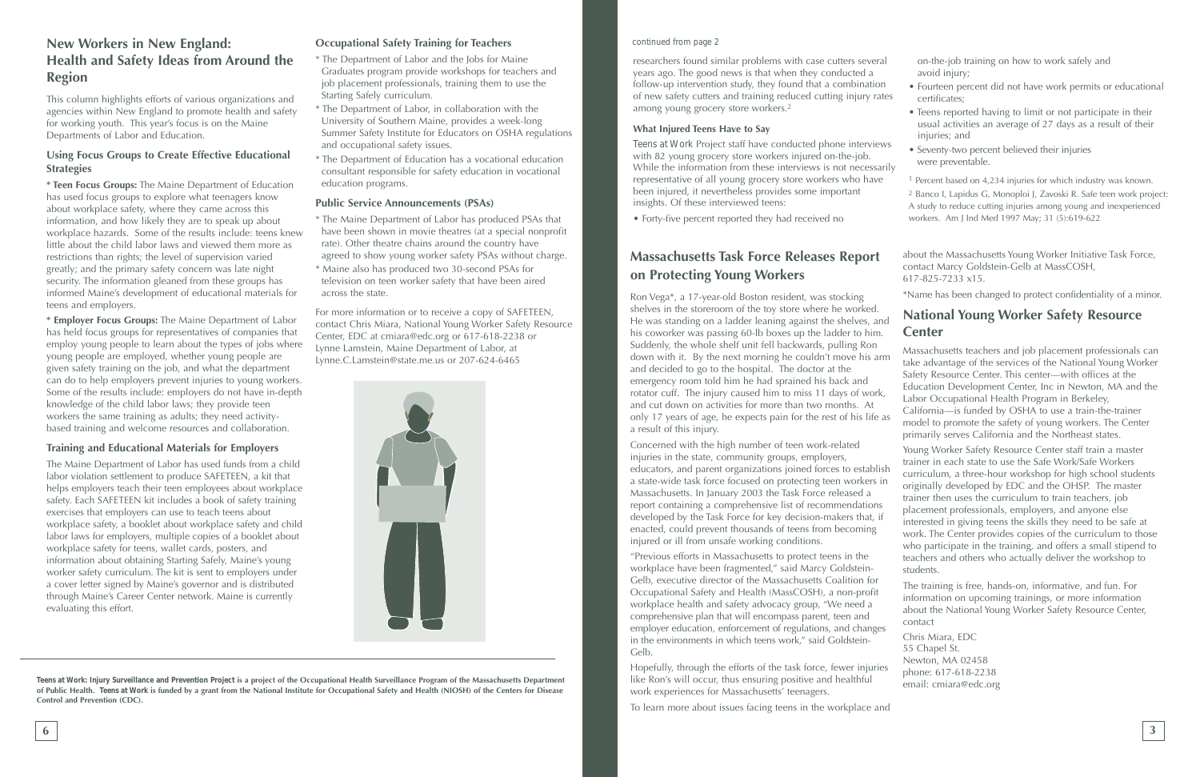# **Massachusetts Task Force Releases Report on Protecting Young Workers**

Ron Vega\*, a 17-year-old Boston resident, was stocking shelves in the storeroom of the toy store where he worked. He was standing on a ladder leaning against the shelves, and his coworker was passing 60-lb boxes up the ladder to him. Suddenly, the whole shelf unit fell backwards, pulling Ron down with it. By the next morning he couldn't move his are and decided to go to the hospital. The doctor at the emergency room told him he had sprained his back and rotator cuff. The injury caused him to miss 11 days of work and cut down on activities for more than two months. At only 17 years of age, he expects pain for the rest of his life a result of this injury.

Concerned with the high number of teen work-related injuries in the state, community groups, employers, educators, and parent organizations joined forces to establi a state-wide task force focused on protecting teen workers Massachusetts. In January 2003 the Task Force released a report containing a comprehensive list of recommendations developed by the Task Force for key decision-makers that, if enacted, could prevent thousands of teens from becoming injured or ill from unsafe working conditions.

"Previous efforts in Massachusetts to protect teens in the workplace have been fragmented," said Marcy Goldstein-Gelb, executive director of the Massachusetts Coalition for Occupational Safety and Health (MassCOSH), a non-profit workplace health and safety advocacy group, "We need a comprehensive plan that will encompass parent, teen and employer education, enforcement of regulations, and changes in the environments in which teens work," said Goldstein-

researchers found similar problems with case cutters several years ago. The good news is that when they conducted a follow-up intervention study, they found that a combination of new safety cutters and training reduced cutting injury ra among young grocery store workers.2

To learn more about issues facing teens in the workplace and

*Teens at Work* Project staff have conducted phone interview with 82 young grocery store workers injured on-the-job. While the information from these interviews is not necessary representative of all young grocery store workers who have been injured, it nevertheless provides some important insights. Of these interviewed teens:

# **New Workers in New England:** *Cocupational Safety Training for Teachers continued from page 2* **Health and Safety Ideas from Around the Region**

Gelb. Hopefully, through the efforts of the task force, fewer injuries like Ron's will occur, thus ensuring positive and healthful work experiences for Massachusetts' teenagers. Chris Miara, EDC 55 Chapel St. Newton, MA 02458 phone: 617-618-2238 email: cmiara@edc.org

information on upcoming trainings, or more information about the National Young Worker Safety Resource Center, contact

| al                      | on-the-job training on how to work safely and<br>avoid injury;                                                                                                                                                                                                                                                                                                                                                                                                                                                                                                                                                                         |
|-------------------------|----------------------------------------------------------------------------------------------------------------------------------------------------------------------------------------------------------------------------------------------------------------------------------------------------------------------------------------------------------------------------------------------------------------------------------------------------------------------------------------------------------------------------------------------------------------------------------------------------------------------------------------|
| n<br>ites               | • Fourteen percent did not have work permits or educational<br>certificates;                                                                                                                                                                                                                                                                                                                                                                                                                                                                                                                                                           |
| <b>WS</b>               | • Teens reported having to limit or not participate in their<br>usual activities an average of 27 days as a result of their<br>injuries; and<br>• Seventy-two percent believed their injuries                                                                                                                                                                                                                                                                                                                                                                                                                                          |
| arily                   | were preventable.                                                                                                                                                                                                                                                                                                                                                                                                                                                                                                                                                                                                                      |
| e                       | <sup>1</sup> Percent based on 4,234 injuries for which industry was known.<br><sup>2</sup> Banco I, Lapidus G, Monoploi J, Zavoski R. Safe teen work project:<br>A study to reduce cutting injuries among young and inexperienced<br>workers. Am J Ind Med 1997 May; 31 (5):619-622                                                                                                                                                                                                                                                                                                                                                    |
|                         | about the Massachusetts Young Worker Initiative Task Force,<br>contact Marcy Goldstein-Gelb at MassCOSH,<br>617-825-7233 x15.                                                                                                                                                                                                                                                                                                                                                                                                                                                                                                          |
|                         | *Name has been changed to protect confidentiality of a minor.                                                                                                                                                                                                                                                                                                                                                                                                                                                                                                                                                                          |
| nd<br>I.                | <b>National Young Worker Safety Resource</b><br><b>Center</b>                                                                                                                                                                                                                                                                                                                                                                                                                                                                                                                                                                          |
| rm<br>$\langle$ ,<br>as | Massachusetts teachers and job placement professionals can<br>take advantage of the services of the National Young Worker<br>Safety Resource Center. This center-with offices at the<br>Education Development Center, Inc in Newton, MA and the<br>Labor Occupational Health Program in Berkeley,<br>California-is funded by OSHA to use a train-the-trainer<br>model to promote the safety of young workers. The Center<br>primarily serves California and the Northeast states.                                                                                                                                                      |
| ish<br>in<br>f          | Young Worker Safety Resource Center staff train a master<br>trainer in each state to use the Safe Work/Safe Workers<br>curriculum, a three-hour workshop for high school students<br>originally developed by EDC and the OHSP. The master<br>trainer then uses the curriculum to train teachers, job<br>placement professionals, employers, and anyone else<br>interested in giving teens the skills they need to be safe at<br>work. The Center provides copies of the curriculum to those<br>who participate in the training, and offers a small stipend to<br>teachers and others who actually deliver the workshop to<br>students. |
|                         | The training is free, hands-on, informative, and fun. For                                                                                                                                                                                                                                                                                                                                                                                                                                                                                                                                                                              |

#### **What Injured Teens Have to Say**

• Forty-five percent reported they had received no

This column highlights efforts of various organizations and agencies within New England to promote health and safety for working youth. This year's focus is on the Maine Departments of Labor and Education.

#### **Using Focus Groups to Create Effective Educational Strategies**

**\* Teen Focus Groups:** The Maine Department of Education has used focus groups to explore what teenagers know about workplace safety, where they came across this information, and how likely they are to speak up about workplace hazards. Some of the results include: teens knew little about the child labor laws and viewed them more as restrictions than rights; the level of supervision varied greatly; and the primary safety concern was late night security. The information gleaned from these groups has informed Maine's development of educational materials for teens and employers.

**\* Employer Focus Groups:** The Maine Department of Labor has held focus groups for representatives of companies that employ young people to learn about the types of jobs where young people are employed, whether young people are given safety training on the job, and what the department can do to help employers prevent injuries to young workers. Some of the results include: employers do not have in-depth knowledge of the child labor laws; they provide teen workers the same training as adults; they need activitybased training and welcome resources and collaboration.

#### **Training and Educational Materials for Employers**

The Maine Department of Labor has used funds from a child labor violation settlement to produce SAFETEEN, a kit that helps employers teach their teen employees about workplace safety. Each SAFETEEN kit includes a book of safety training exercises that employers can use to teach teens about workplace safety, a booklet about workplace safety and child labor laws for employers, multiple copies of a booklet about workplace safety for teens, wallet cards, posters, and information about obtaining Starting Safely, Maine's young worker safety curriculum. The kit is sent to employers under a cover letter signed by Maine's governor and is distributed through Maine's Career Center network. Maine is currently evaluating this effort.

#### **Occupational Safety Training for Teachers**

- \* The Department of Labor and the Jobs for Maine Graduates program provide workshops for teachers and job placement professionals, training them to use the Starting Safely curriculum.
- \* The Department of Labor, in collaboration with the University of Southern Maine, provides a week-long Summer Safety Institute for Educators on OSHA regulations and occupational safety issues.
- \* The Department of Education has a vocational education consultant responsible for safety education in vocational education programs.

#### **Public Service Announcements (PSAs)**

- \* The Maine Department of Labor has produced PSAs that have been shown in movie theatres (at a special nonprofit rate). Other theatre chains around the country have agreed to show young worker safety PSAs without charge.
- \* Maine also has produced two 30-second PSAs for television on teen worker safety that have been aired across the state.

For more information or to receive a copy of SAFETEEN, contact Chris Miara, National Young Worker Safety Resource Center, EDC at cmiara@edc.org or 617-618-2238 or Lynne Lamstein, Maine Department of Labor, at Lynne.C.Lamstein@state.me.us or 207-624-6465



*Teens at Work: Injury Surveillance and Prevention Project* **is a project of the Occupational Health Surveillance Program of the Massachusetts Department of Public Health.** *Teens at Work* **is funded by a grant from the National Institute for Occupational Safety and Health (NIOSH) of the Centers for Disease Control and Prevention (CDC).**